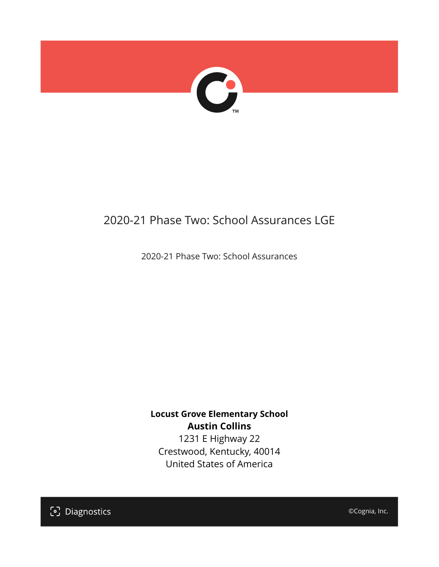

# 2020-21 Phase Two: School Assurances LGE

2020-21 Phase Two: School Assurances

## **Locust Grove Elementary School Austin Collins**

1231 E Highway 22 Crestwood, Kentucky, 40014 United States of America

[၁] Diagnostics

©Cognia, Inc.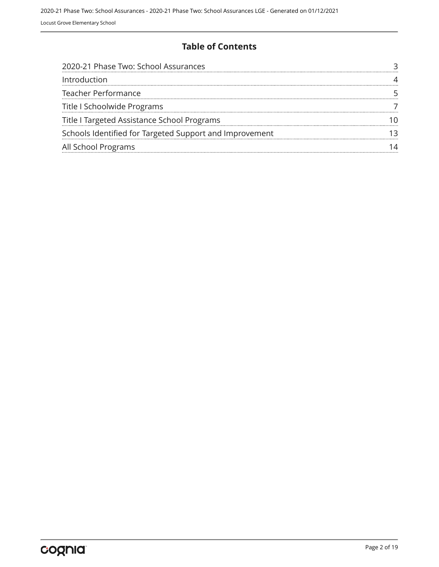#### **Table of Contents**

| 2020-21 Phase Two: School Assurances                    |  |
|---------------------------------------------------------|--|
| Introduction                                            |  |
| <b>Teacher Performance</b>                              |  |
| Title I Schoolwide Programs                             |  |
| Title I Targeted Assistance School Programs             |  |
| Schools Identified for Targeted Support and Improvement |  |
| All School Programs                                     |  |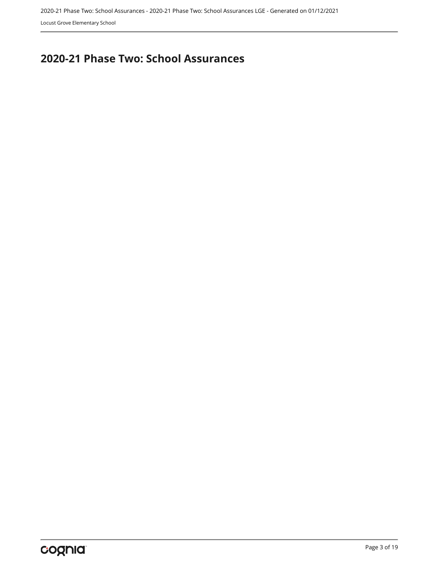Locust Grove Elementary School

# <span id="page-2-0"></span>**2020-21 Phase Two: School Assurances**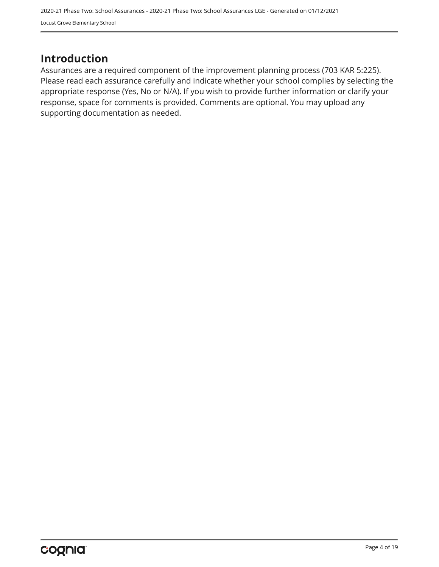## <span id="page-3-0"></span>**Introduction**

Assurances are a required component of the improvement planning process (703 KAR 5:225). Please read each assurance carefully and indicate whether your school complies by selecting the appropriate response (Yes, No or N/A). If you wish to provide further information or clarify your response, space for comments is provided. Comments are optional. You may upload any supporting documentation as needed.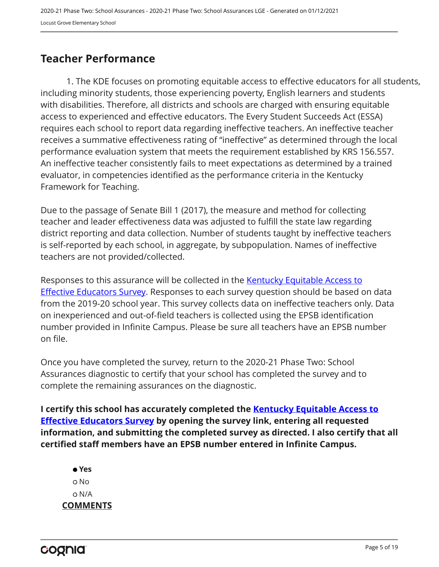# <span id="page-4-0"></span>**Teacher Performance**

1. The KDE focuses on promoting equitable access to effective educators for all students, including minority students, those experiencing poverty, English learners and students with disabilities. Therefore, all districts and schools are charged with ensuring equitable access to experienced and effective educators. The Every Student Succeeds Act (ESSA) requires each school to report data regarding ineffective teachers. An ineffective teacher receives a summative effectiveness rating of "ineffective" as determined through the local performance evaluation system that meets the requirement established by KRS 156.557. An ineffective teacher consistently fails to meet expectations as determined by a trained evaluator, in competencies identified as the performance criteria in the Kentucky Framework for Teaching.

Due to the passage of Senate Bill 1 (2017), the measure and method for collecting teacher and leader effectiveness data was adjusted to fulfill the state law regarding district reporting and data collection. Number of students taught by ineffective teachers is self-reported by each school, in aggregate, by subpopulation. Names of ineffective teachers are not provided/collected.

Responses to this assurance will be collected in the [Kentucky Equitable Access to](https://www.surveymonkey.com/r/PNPMCCV) **[Effective Educators Survey](https://www.surveymonkey.com/r/PNPMCCV).** Responses to each survey question should be based on data from the 2019-20 school year. This survey collects data on ineffective teachers only. Data on inexperienced and out-of-field teachers is collected using the EPSB identification number provided in Infinite Campus. Please be sure all teachers have an EPSB number on file.

Once you have completed the survey, return to the 2020-21 Phase Two: School Assurances diagnostic to certify that your school has completed the survey and to complete the remaining assurances on the diagnostic.

**I certify this school has accurately completed the [Kentucky Equitable Access to](https://www.surveymonkey.com/r/PNPMCCV) [Effective Educators Survey](https://www.surveymonkey.com/r/PNPMCCV) by opening the survey link, entering all requested information, and submitting the completed survey as directed. I also certify that all certified staff members have an EPSB number entered in Infinite Campus.**

 **Yes** No N/A **COMMENTS**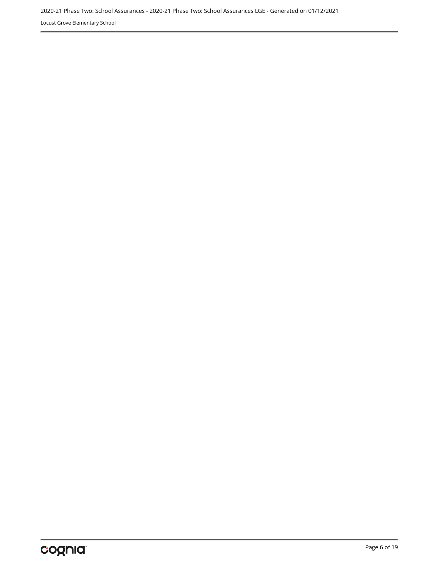Locust Grove Elementary School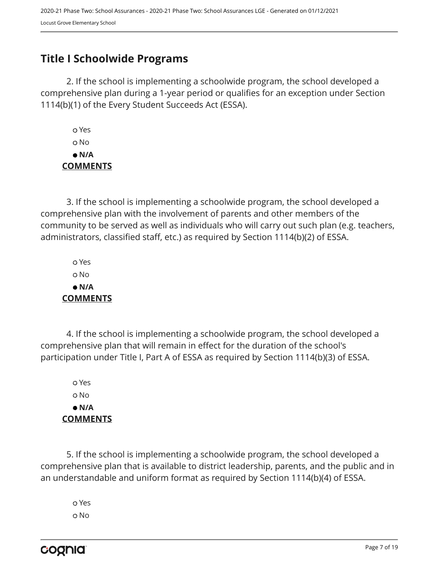## <span id="page-6-0"></span>**Title I Schoolwide Programs**

2. If the school is implementing a schoolwide program, the school developed a comprehensive plan during a 1-year period or qualifies for an exception under Section 1114(b)(1) of the Every Student Succeeds Act (ESSA).

 Yes o No  **N/A COMMENTS**

3. If the school is implementing a schoolwide program, the school developed a comprehensive plan with the involvement of parents and other members of the community to be served as well as individuals who will carry out such plan (e.g. teachers, administrators, classified staff, etc.) as required by Section 1114(b)(2) of ESSA.

 Yes No  **N/A COMMENTS**

4. If the school is implementing a schoolwide program, the school developed a comprehensive plan that will remain in effect for the duration of the school's participation under Title I, Part A of ESSA as required by Section 1114(b)(3) of ESSA.

 Yes No  **N/A COMMENTS**

5. If the school is implementing a schoolwide program, the school developed a comprehensive plan that is available to district leadership, parents, and the public and in an understandable and uniform format as required by Section 1114(b)(4) of ESSA.

 Yes o No

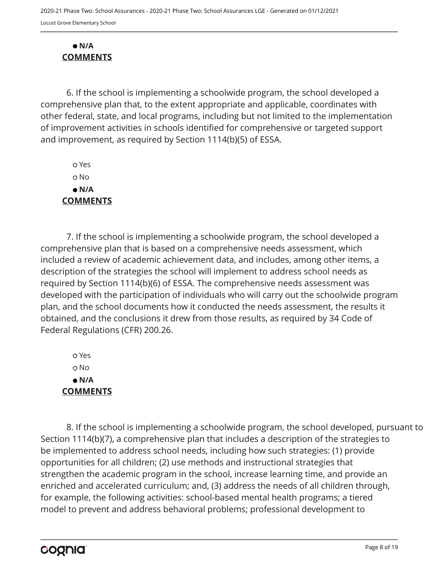#### **N/A COMMENTS**

6. If the school is implementing a schoolwide program, the school developed a comprehensive plan that, to the extent appropriate and applicable, coordinates with other federal, state, and local programs, including but not limited to the implementation of improvement activities in schools identified for comprehensive or targeted support and improvement, as required by Section 1114(b)(5) of ESSA.

 Yes No  **N/A COMMENTS**

7. If the school is implementing a schoolwide program, the school developed a comprehensive plan that is based on a comprehensive needs assessment, which included a review of academic achievement data, and includes, among other items, a description of the strategies the school will implement to address school needs as required by Section 1114(b)(6) of ESSA. The comprehensive needs assessment was developed with the participation of individuals who will carry out the schoolwide program plan, and the school documents how it conducted the needs assessment, the results it obtained, and the conclusions it drew from those results, as required by 34 Code of Federal Regulations (CFR) 200.26.

 Yes No  **N/A COMMENTS**

8. If the school is implementing a schoolwide program, the school developed, pursuant to Section 1114(b)(7), a comprehensive plan that includes a description of the strategies to be implemented to address school needs, including how such strategies: (1) provide opportunities for all children; (2) use methods and instructional strategies that strengthen the academic program in the school, increase learning time, and provide an enriched and accelerated curriculum; and, (3) address the needs of all children through, for example, the following activities: school-based mental health programs; a tiered model to prevent and address behavioral problems; professional development to

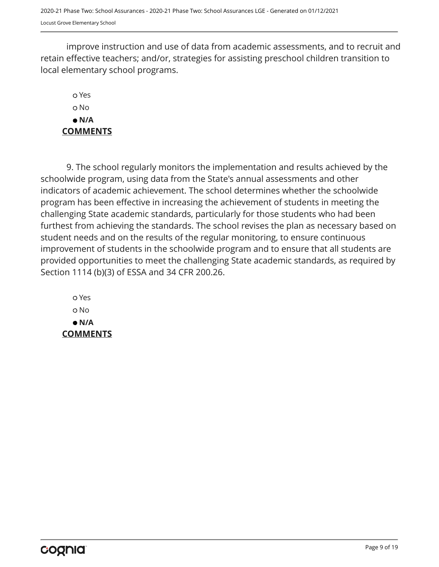improve instruction and use of data from academic assessments, and to recruit and retain effective teachers; and/or, strategies for assisting preschool children transition to local elementary school programs.

### Yes o No  **N/A COMMENTS**

9. The school regularly monitors the implementation and results achieved by the schoolwide program, using data from the State's annual assessments and other indicators of academic achievement. The school determines whether the schoolwide program has been effective in increasing the achievement of students in meeting the challenging State academic standards, particularly for those students who had been furthest from achieving the standards. The school revises the plan as necessary based on student needs and on the results of the regular monitoring, to ensure continuous improvement of students in the schoolwide program and to ensure that all students are provided opportunities to meet the challenging State academic standards, as required by Section 1114 (b)(3) of ESSA and 34 CFR 200.26.

 Yes o No  **N/A COMMENTS**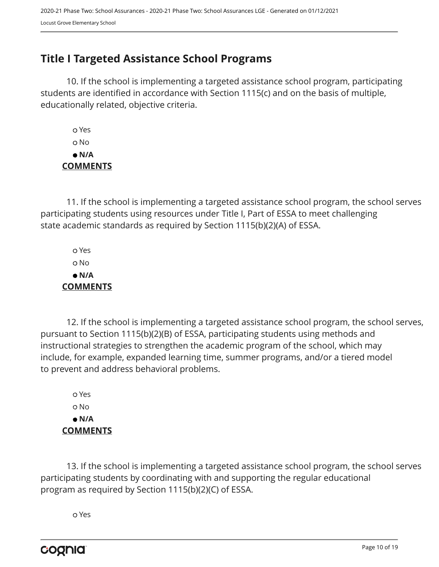## <span id="page-9-0"></span>**Title I Targeted Assistance School Programs**

10. If the school is implementing a targeted assistance school program, participating students are identified in accordance with Section 1115(c) and on the basis of multiple, educationally related, objective criteria.

 Yes o No  **N/A COMMENTS**

11. If the school is implementing a targeted assistance school program, the school serves participating students using resources under Title I, Part of ESSA to meet challenging state academic standards as required by Section 1115(b)(2)(A) of ESSA.

 Yes No  **N/A COMMENTS**

12. If the school is implementing a targeted assistance school program, the school serves, pursuant to Section 1115(b)(2)(B) of ESSA, participating students using methods and instructional strategies to strengthen the academic program of the school, which may include, for example, expanded learning time, summer programs, and/or a tiered model to prevent and address behavioral problems.

 Yes o No  **N/A COMMENTS**

13. If the school is implementing a targeted assistance school program, the school serves participating students by coordinating with and supporting the regular educational program as required by Section 1115(b)(2)(C) of ESSA.

Yes

cognia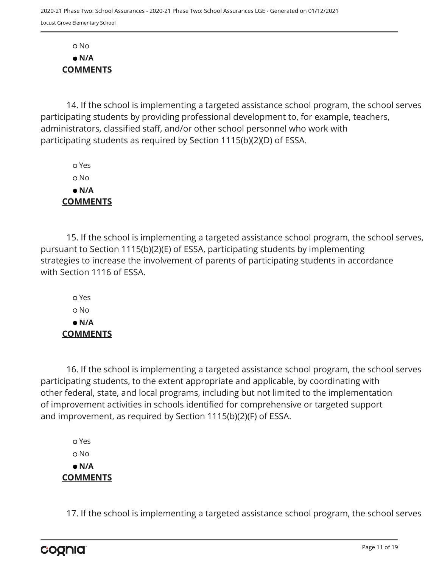No  **N/A COMMENTS**

14. If the school is implementing a targeted assistance school program, the school serves participating students by providing professional development to, for example, teachers, administrators, classified staff, and/or other school personnel who work with participating students as required by Section 1115(b)(2)(D) of ESSA.

 Yes No  **N/A COMMENTS**

15. If the school is implementing a targeted assistance school program, the school serves, pursuant to Section 1115(b)(2)(E) of ESSA, participating students by implementing strategies to increase the involvement of parents of participating students in accordance with Section 1116 of ESSA.

 Yes o No  **N/A COMMENTS**

16. If the school is implementing a targeted assistance school program, the school serves participating students, to the extent appropriate and applicable, by coordinating with other federal, state, and local programs, including but not limited to the implementation of improvement activities in schools identified for comprehensive or targeted support and improvement, as required by Section 1115(b)(2)(F) of ESSA.

 Yes o No  **N/A COMMENTS**

17. If the school is implementing a targeted assistance school program, the school serves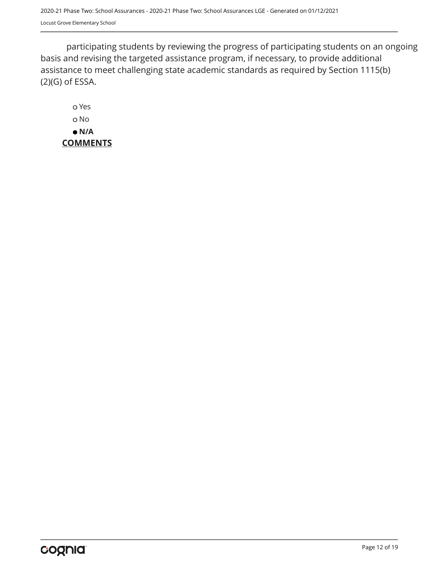participating students by reviewing the progress of participating students on an ongoing basis and revising the targeted assistance program, if necessary, to provide additional assistance to meet challenging state academic standards as required by Section 1115(b) (2)(G) of ESSA.

 Yes o No  **N/A COMMENTS**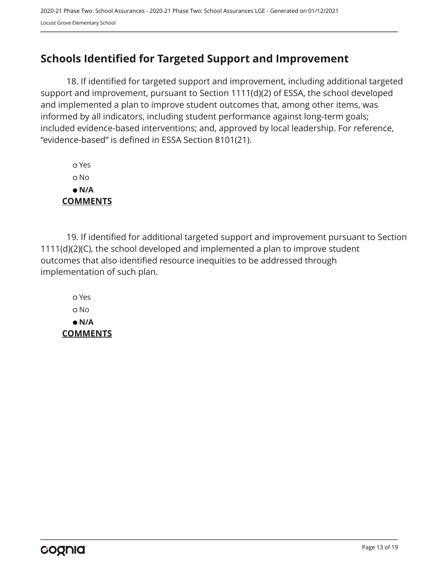# <span id="page-12-0"></span>**Schools Identified for Targeted Support and Improvement**

18. If identified for targeted support and improvement, including additional targeted support and improvement, pursuant to Section 1111(d)(2) of ESSA, the school developed and implemented a plan to improve student outcomes that, among other items, was informed by all indicators, including student performance against long-term goals; included evidence-based interventions; and, approved by local leadership. For reference, "evidence-based" is defined in ESSA Section 8101(21).

 Yes No  **N/A COMMENTS**

19. If identified for additional targeted support and improvement pursuant to Section 1111(d)(2)(C), the school developed and implemented a plan to improve student outcomes that also identified resource inequities to be addressed through implementation of such plan.

 Yes No  **N/A COMMENTS**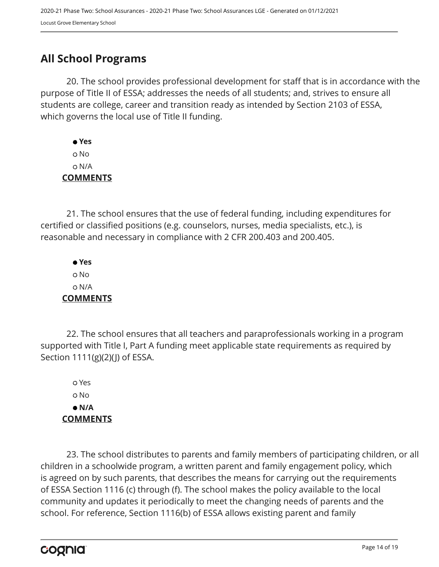# <span id="page-13-0"></span>**All School Programs**

20. The school provides professional development for staff that is in accordance with the purpose of Title II of ESSA; addresses the needs of all students; and, strives to ensure all students are college, career and transition ready as intended by Section 2103 of ESSA, which governs the local use of Title II funding.

 **Yes** No N/A **COMMENTS**

21. The school ensures that the use of federal funding, including expenditures for certified or classified positions (e.g. counselors, nurses, media specialists, etc.), is reasonable and necessary in compliance with 2 CFR 200.403 and 200.405.

 **Yes** No N/A **COMMENTS**

22. The school ensures that all teachers and paraprofessionals working in a program supported with Title I, Part A funding meet applicable state requirements as required by Section 1111(g)(2)(J) of ESSA.

 Yes No  **N/A COMMENTS**

23. The school distributes to parents and family members of participating children, or all children in a schoolwide program, a written parent and family engagement policy, which is agreed on by such parents, that describes the means for carrying out the requirements of ESSA Section 1116 (c) through (f). The school makes the policy available to the local community and updates it periodically to meet the changing needs of parents and the school. For reference, Section 1116(b) of ESSA allows existing parent and family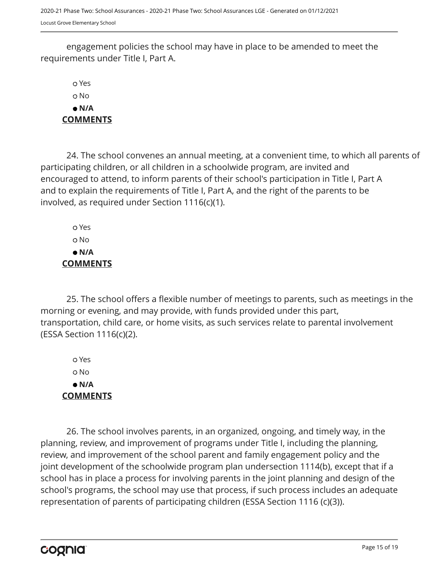engagement policies the school may have in place to be amended to meet the requirements under Title I, Part A.

 Yes No  **N/A COMMENTS**

24. The school convenes an annual meeting, at a convenient time, to which all parents of participating children, or all children in a schoolwide program, are invited and encouraged to attend, to inform parents of their school's participation in Title I, Part A and to explain the requirements of Title I, Part A, and the right of the parents to be involved, as required under Section 1116(c)(1).

 Yes No  **N/A COMMENTS**

25. The school offers a flexible number of meetings to parents, such as meetings in the morning or evening, and may provide, with funds provided under this part, transportation, child care, or home visits, as such services relate to parental involvement (ESSA Section 1116(c)(2).

 Yes No  **N/A COMMENTS**

26. The school involves parents, in an organized, ongoing, and timely way, in the planning, review, and improvement of programs under Title I, including the planning, review, and improvement of the school parent and family engagement policy and the joint development of the schoolwide program plan undersection 1114(b), except that if a school has in place a process for involving parents in the joint planning and design of the school's programs, the school may use that process, if such process includes an adequate representation of parents of participating children (ESSA Section 1116 (c)(3)).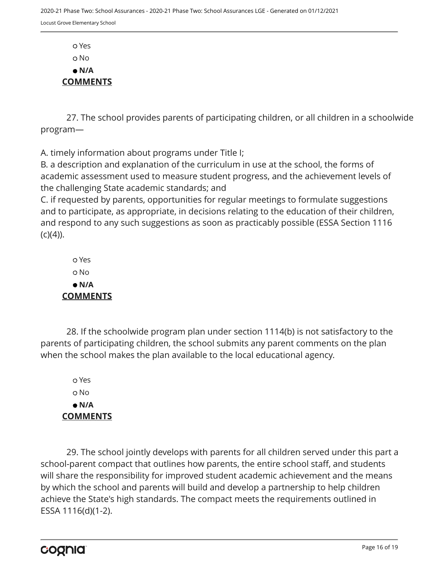Yes o No  **N/A COMMENTS**

27. The school provides parents of participating children, or all children in a schoolwide program—

A. timely information about programs under Title I;

B. a description and explanation of the curriculum in use at the school, the forms of academic assessment used to measure student progress, and the achievement levels of the challenging State academic standards; and

C. if requested by parents, opportunities for regular meetings to formulate suggestions and to participate, as appropriate, in decisions relating to the education of their children, and respond to any such suggestions as soon as practicably possible (ESSA Section 1116  $(C)(4)$ ).

 Yes o No  **N/A COMMENTS**

28. If the schoolwide program plan under section 1114(b) is not satisfactory to the parents of participating children, the school submits any parent comments on the plan when the school makes the plan available to the local educational agency.

 Yes o No  **N/A COMMENTS**

29. The school jointly develops with parents for all children served under this part a school-parent compact that outlines how parents, the entire school staff, and students will share the responsibility for improved student academic achievement and the means by which the school and parents will build and develop a partnership to help children achieve the State's high standards. The compact meets the requirements outlined in ESSA 1116(d)(1-2).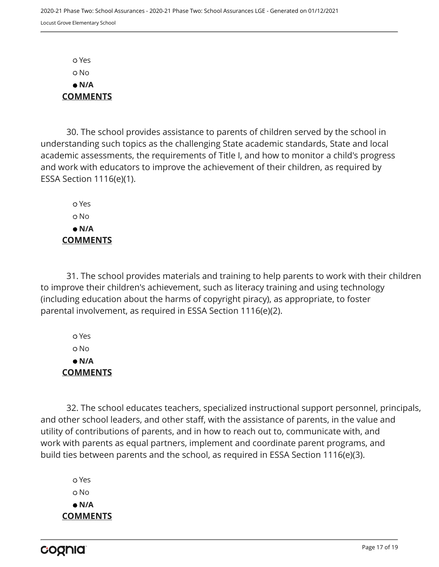Yes No  **N/A COMMENTS**

30. The school provides assistance to parents of children served by the school in understanding such topics as the challenging State academic standards, State and local academic assessments, the requirements of Title I, and how to monitor a child's progress and work with educators to improve the achievement of their children, as required by ESSA Section 1116(e)(1).

 Yes o No  **N/A COMMENTS**

31. The school provides materials and training to help parents to work with their children to improve their children's achievement, such as literacy training and using technology (including education about the harms of copyright piracy), as appropriate, to foster parental involvement, as required in ESSA Section 1116(e)(2).

 Yes No  **N/A COMMENTS**

32. The school educates teachers, specialized instructional support personnel, principals, and other school leaders, and other staff, with the assistance of parents, in the value and utility of contributions of parents, and in how to reach out to, communicate with, and work with parents as equal partners, implement and coordinate parent programs, and build ties between parents and the school, as required in ESSA Section 1116(e)(3).

 Yes o No  **N/A COMMENTS**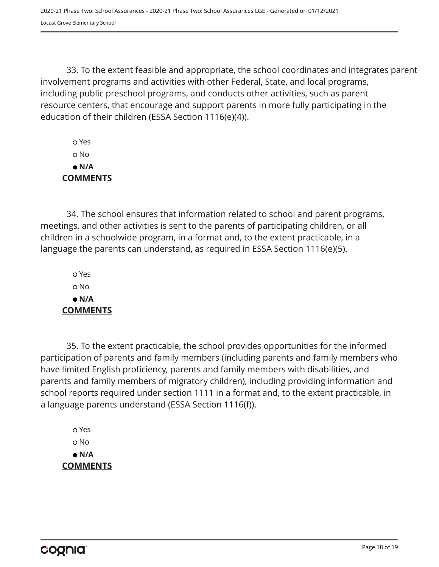33. To the extent feasible and appropriate, the school coordinates and integrates parent involvement programs and activities with other Federal, State, and local programs, including public preschool programs, and conducts other activities, such as parent resource centers, that encourage and support parents in more fully participating in the education of their children (ESSA Section 1116(e)(4)).

 Yes No  **N/A COMMENTS**

34. The school ensures that information related to school and parent programs, meetings, and other activities is sent to the parents of participating children, or all children in a schoolwide program, in a format and, to the extent practicable, in a language the parents can understand, as required in ESSA Section 1116(e)(5).

 Yes o No  **N/A COMMENTS**

35. To the extent practicable, the school provides opportunities for the informed participation of parents and family members (including parents and family members who have limited English proficiency, parents and family members with disabilities, and parents and family members of migratory children), including providing information and school reports required under section 1111 in a format and, to the extent practicable, in a language parents understand (ESSA Section 1116(f)).

 Yes No  **N/A COMMENTS**